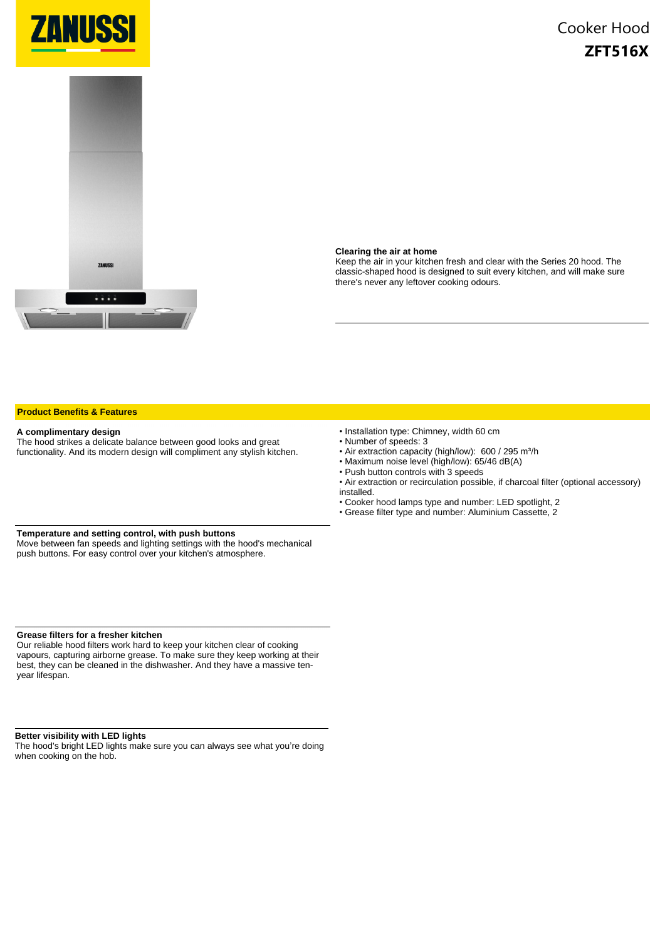



#### **Clearing the air at home**

Keep the air in your kitchen fresh and clear with the Series 20 hood. The classic-shaped hood is designed to suit every kitchen, and will make sure there's never any leftover cooking odours.

#### **Product Benefits & Features**

#### **A complimentary design**

The hood strikes a delicate balance between good looks and great functionality. And its modern design will compliment any stylish kitchen.

- Installation type: Chimney, width 60 cm
- Number of speeds: 3
- Air extraction capacity (high/low): 600 / 295 m<sup>3</sup>/h
- Maximum noise level (high/low): 65/46 dB(A)
- Push button controls with 3 speeds
- Air extraction or recirculation possible, if charcoal filter (optional accessory) installed.
- Cooker hood lamps type and number: LED spotlight, 2
- Grease filter type and number: Aluminium Cassette, 2

### **Temperature and setting control, with push buttons**

Move between fan speeds and lighting settings with the hood's mechanical push buttons. For easy control over your kitchen's atmosphere.

## **Grease filters for a fresher kitchen**

Our reliable hood filters work hard to keep your kitchen clear of cooking vapours, capturing airborne grease. To make sure they keep working at their best, they can be cleaned in the dishwasher. And they have a massive tenyear lifespan.

#### **Better visibility with LED lights**

The hood's bright LED lights make sure you can always see what you're doing when cooking on the hob.